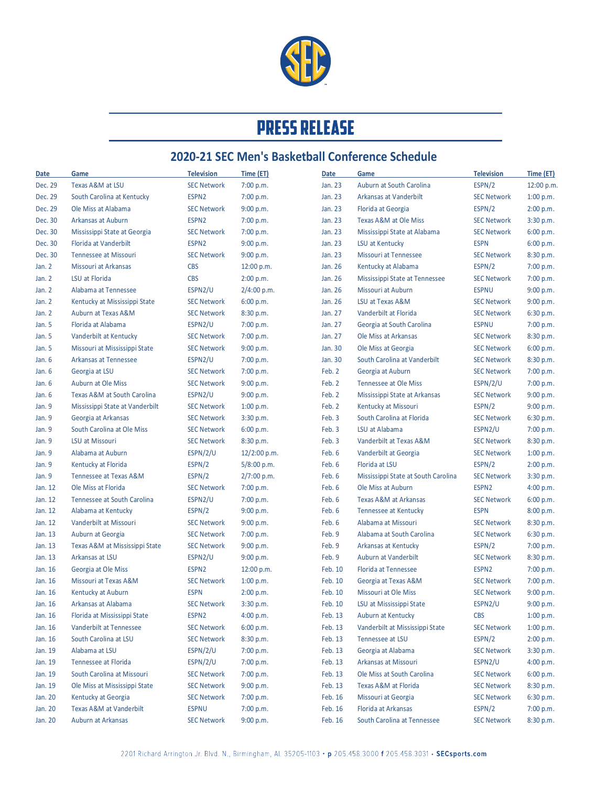

## **PRESS RELEASE**

## **2020-21 SEC Men's Basketball Conference Schedule**

| Date     | Game                                              | <b>Television</b>            | Time (ET)    | Date             | Game                                         | <b>Television</b>           | Time (ET)  |
|----------|---------------------------------------------------|------------------------------|--------------|------------------|----------------------------------------------|-----------------------------|------------|
| Dec. 29  | Texas A&M at LSU                                  | <b>SEC Network</b>           | 7:00 p.m.    | Jan. 23          | Auburn at South Carolina                     | ESPN/2                      | 12:00 p.m. |
| Dec. 29  | South Carolina at Kentucky                        | ESPN2                        | 7:00 p.m.    | Jan. 23          | Arkansas at Vanderbilt                       | <b>SEC Network</b>          | 1:00 p.m.  |
| Dec. 29  | Ole Miss at Alabama                               | <b>SEC Network</b>           | 9:00 p.m.    | Jan. 23          | Florida at Georgia                           | ESPN/2                      | 2:00 p.m.  |
| Dec. 30  | Arkansas at Auburn                                | ESPN <sub>2</sub>            | 7:00 p.m.    | Jan. 23          | Texas A&M at Ole Miss                        | <b>SEC Network</b>          | 3:30 p.m.  |
| Dec. 30  | Mississippi State at Georgia                      | <b>SEC Network</b>           | 7:00 p.m.    | Jan. 23          | Mississippi State at Alabama                 | <b>SEC Network</b>          | 6:00 p.m.  |
| Dec. 30  | Florida at Vanderbilt                             | ESPN2                        | 9:00 p.m.    | Jan. 23          | LSU at Kentucky                              | <b>ESPN</b>                 | 6:00 p.m.  |
| Dec. 30  | <b>Tennessee at Missouri</b>                      | <b>SEC Network</b>           | 9:00 p.m.    | Jan. 23          | <b>Missouri at Tennessee</b>                 | <b>SEC Network</b>          | 8:30 p.m.  |
| Jan. $2$ | Missouri at Arkansas                              | <b>CBS</b>                   | 12:00 p.m.   | Jan. 26          | Kentucky at Alabama                          | ESPN/2                      | 7:00 p.m.  |
| Jan. $2$ | LSU at Florida                                    | <b>CBS</b>                   | 2:00 p.m.    | Jan. 26          | Mississippi State at Tennessee               | <b>SEC Network</b>          | 7:00 p.m.  |
| Jan. $2$ | Alabama at Tennessee                              | ESPN2/U                      | 2/4:00 p.m.  | Jan. 26          | Missouri at Auburn                           | <b>ESPNU</b>                | 9:00 p.m.  |
| Jan. $2$ | Kentucky at Mississippi State                     | <b>SEC Network</b>           | 6:00 p.m.    | Jan. 26          | LSU at Texas A&M                             | <b>SEC Network</b>          | 9:00 p.m.  |
| Jan. $2$ | Auburn at Texas A&M                               | <b>SEC Network</b>           | 8:30 p.m.    | Jan. 27          | Vanderbilt at Florida                        | <b>SEC Network</b>          | 6:30 p.m.  |
| Jan. 5   | Florida at Alabama                                | ESPN2/U                      | 7:00 p.m.    | Jan. 27          | Georgia at South Carolina                    | <b>ESPNU</b>                | 7:00 p.m.  |
| Jan. 5   | Vanderbilt at Kentucky                            | <b>SEC Network</b>           | 7:00 p.m.    | Jan. 27          | Ole Miss at Arkansas                         | <b>SEC Network</b>          | 8:30 p.m.  |
| Jan. 5   | Missouri at Mississippi State                     | <b>SEC Network</b>           | 9:00 p.m.    | Jan. 30          | Ole Miss at Georgia                          | <b>SEC Network</b>          | 6:00 p.m.  |
| Jan. 6   | <b>Arkansas at Tennessee</b>                      | ESPN2/U                      | 7:00 p.m.    | Jan. 30          | South Carolina at Vanderbilt                 | <b>SEC Network</b>          | 8:30 p.m.  |
| Jan. $6$ | Georgia at LSU                                    | <b>SEC Network</b>           | 7:00 p.m.    | Feb. 2           | Georgia at Auburn                            | <b>SEC Network</b>          | 7:00 p.m.  |
| Jan. 6   | <b>Auburn at Ole Miss</b>                         | <b>SEC Network</b>           | 9:00 p.m.    | Feb. 2           | <b>Tennessee at Ole Miss</b>                 | ESPN/2/U                    | 7:00 p.m.  |
| Jan. 6   | <b>Texas A&amp;M at South Carolina</b>            | ESPN2/U                      | 9:00 p.m.    | Feb. 2           | Mississippi State at Arkansas                | <b>SEC Network</b>          | 9:00 p.m.  |
| Jan. 9   | Mississippi State at Vanderbilt                   | <b>SEC Network</b>           | 1:00 p.m.    | Feb. 2           | Kentucky at Missouri                         | ESPN/2                      | 9:00 p.m.  |
| Jan. 9   | Georgia at Arkansas                               | <b>SEC Network</b>           | 3:30 p.m.    | Feb. 3           | South Carolina at Florida                    | <b>SEC Network</b>          | 6:30 p.m.  |
| Jan. 9   | South Carolina at Ole Miss                        | <b>SEC Network</b>           | 6:00 p.m.    | Feb. 3           | LSU at Alabama                               | ESPN2/U                     | 7:00 p.m.  |
| Jan. 9   | LSU at Missouri                                   | <b>SEC Network</b>           | 8:30 p.m.    | Feb. 3           | Vanderbilt at Texas A&M                      | <b>SEC Network</b>          | 8:30 p.m.  |
| Jan. 9   | Alabama at Auburn                                 | ESPN/2/U                     | 12/2:00 p.m. | Feb. 6           | Vanderbilt at Georgia                        | <b>SEC Network</b>          | 1:00 p.m.  |
| Jan. 9   | Kentucky at Florida                               | ESPN/2                       | 5/8:00 p.m.  | Feb. 6           | Florida at LSU                               | ESPN/2                      | 2:00 p.m.  |
| Jan. 9   | Tennessee at Texas A&M                            | ESPN/2                       | 2/7:00 p.m.  | Feb. 6           | Mississippi State at South Carolina          | <b>SEC Network</b>          | 3:30 p.m.  |
| Jan. 12  | Ole Miss at Florida                               | <b>SEC Network</b>           | 7:00 p.m.    | Feb. 6           | Ole Miss at Auburn                           | ESPN <sub>2</sub>           | 4:00 p.m.  |
| Jan. 12  | Tennessee at South Carolina                       | ESPN2/U                      | 7:00 p.m.    | Feb. 6           | Texas A&M at Arkansas                        | <b>SEC Network</b>          | 6:00 p.m.  |
| Jan. 12  | Alabama at Kentucky                               | ESPN/2                       | 9:00 p.m.    | Feb. 6           | Tennessee at Kentucky                        | <b>ESPN</b>                 | 8:00 p.m.  |
| Jan. 12  | Vanderbilt at Missouri                            | <b>SEC Network</b>           | 9:00 p.m.    | Feb. 6           | Alabama at Missouri                          | <b>SEC Network</b>          | 8:30 p.m.  |
| Jan. 13  | Auburn at Georgia                                 | <b>SEC Network</b>           |              | Feb. 9           | Alabama at South Carolina                    | <b>SEC Network</b>          | 6:30 p.m.  |
|          |                                                   |                              | 7:00 p.m.    |                  |                                              | ESPN/2                      |            |
| Jan. 13  | Texas A&M at Mississippi State<br>Arkansas at LSU | <b>SEC Network</b>           | 9:00 p.m.    | Feb. 9<br>Feb. 9 | Arkansas at Kentucky<br>Auburn at Vanderbilt |                             | 7:00 p.m.  |
| Jan. 13  |                                                   | ESPN2/U<br>ESPN <sub>2</sub> | 9:00 p.m.    | Feb. 10          | Florida at Tennessee                         | <b>SEC Network</b><br>ESPN2 | 8:30 p.m.  |
| Jan. 16  | Georgia at Ole Miss                               |                              | 12:00 p.m.   |                  |                                              |                             | 7:00 p.m.  |
| Jan. 16  | Missouri at Texas A&M                             | <b>SEC Network</b>           | 1:00 p.m.    | Feb. 10          | Georgia at Texas A&M                         | <b>SEC Network</b>          | 7:00 p.m.  |
| Jan. 16  | Kentucky at Auburn                                | <b>ESPN</b>                  | 2:00 p.m.    | Feb. 10          | Missouri at Ole Miss                         | <b>SEC Network</b>          | 9:00 p.m.  |
| Jan. 16  | Arkansas at Alabama                               | <b>SEC Network</b>           | 3:30 p.m.    | Feb. 10          | LSU at Mississippi State                     | ESPN2/U                     | 9:00 p.m.  |
| Jan. 16  | Florida at Mississippi State                      | ESPN2                        | 4:00 p.m.    | Feb. 13          | Auburn at Kentucky                           | <b>CBS</b>                  | 1:00 p.m.  |
| Jan. 16  | Vanderbilt at Tennessee                           | <b>SEC Network</b>           | 6:00 p.m.    | Feb. 13          | Vanderbilt at Mississippi State              | <b>SEC Network</b>          | 1:00 p.m.  |
| Jan. 16  | South Carolina at LSU                             | <b>SEC Network</b>           | 8:30 p.m.    | Feb. 13          | Tennessee at LSU                             | ESPN/2                      | 2:00 p.m.  |
| Jan. 19  | Alabama at LSU                                    | ESPN/2/U                     | 7:00 p.m.    | Feb. 13          | Georgia at Alabama                           | <b>SEC Network</b>          | 3:30 p.m.  |
| Jan. 19  | Tennessee at Florida                              | ESPN/2/U                     | 7:00 p.m.    | Feb. 13          | Arkansas at Missouri                         | ESPN2/U                     | 4:00 p.m.  |
| Jan. 19  | South Carolina at Missouri                        | <b>SEC Network</b>           | 7:00 p.m.    | Feb. 13          | Ole Miss at South Carolina                   | <b>SEC Network</b>          | 6:00 p.m.  |
| Jan. 19  | Ole Miss at Mississippi State                     | <b>SEC Network</b>           | 9:00 p.m.    | Feb. 13          | Texas A&M at Florida                         | <b>SEC Network</b>          | 8:30 p.m.  |
| Jan. 20  | Kentucky at Georgia                               | <b>SEC Network</b>           | 7:00 p.m.    | Feb. 16          | Missouri at Georgia                          | <b>SEC Network</b>          | 6:30 p.m.  |
| Jan. 20  | Texas A&M at Vanderbilt                           | <b>ESPNU</b>                 | 7:00 p.m.    | Feb. 16          | Florida at Arkansas                          | ESPN/2                      | 7:00 p.m.  |
| Jan. 20  | Auburn at Arkansas                                | <b>SEC Network</b>           | 9:00 p.m.    | Feb. 16          | South Carolina at Tennessee                  | <b>SEC Network</b>          | 8:30 p.m.  |